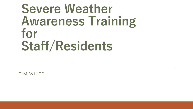# **Severe Weather Awareness Training for Staff/Residents**

TIM WHITE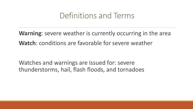#### Definitions and Terms

**Warning**: severe weather is currently occurring in the area **Watch**: conditions are favorable for severe weather

Watches and warnings are issued for: severe thunderstorms, hail, flash floods, and tornadoes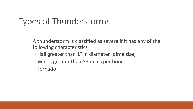### Types of Thunderstorms

A thunderstorm is classified as severe if it has any of the following characteristics

- Hail greater than 1" in diameter (dime size)
- Winds greater than 58 miles per hour
- Tornado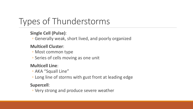# Types of Thunderstorms

#### **Single Cell (Pulse)**:

◦ Generally weak, short lived, and poorly organized

#### **Multicell Cluster**:

- Most common type
- Series of cells moving as one unit

#### **Multicell Line**:

- AKA "Squall Line"
- Long line of storms with gust front at leading edge

#### **Supercell**:

◦ Very strong and produce severe weather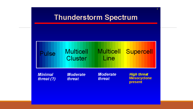

 $\overline{2}$ 

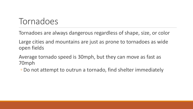#### Tornadoes

Tornadoes are always dangerous regardless of shape, size, or color

Large cities and mountains are just as prone to tornadoes as wide open fields

Average tornado speed is 30mph, but they can move as fast as 70mph

◦ Do not attempt to outrun a tornado, find shelter immediately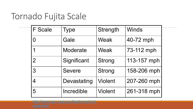### Tornado Fujita Scale

| <b>F</b> Scale | Type          | Strength       |
|----------------|---------------|----------------|
| $\overline{0}$ | Gale          | Weak           |
| 1              | Moderate      | Weak           |
| $\overline{2}$ | Significant   | <b>Strong</b>  |
| 3              | <b>Severe</b> | <b>Strong</b>  |
| $\overline{4}$ | Devastating   | <b>Violent</b> |
| 5              | Incredible    | <b>Violent</b> |

http://www.spc.noaa.gov/faq/tornado/ef-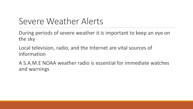### Severe Weather Alerts

During periods of severe weather it is important to keep an eye on the sky

Local television, radio, and the Internet are vital sources of information

A S.A.M.E NOAA weather radio is essential for immediate watches and warnings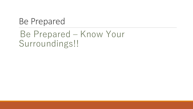#### Be Prepared

### Be Prepared – Know Your Surroundings!!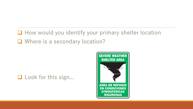**□** How would you identify your primary shelter location Where is a secondary location?

#### $\Box$  Look for this sign...

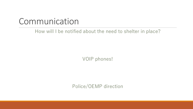#### Communication

#### How will I be notified about the need to shelter in place?

VOIP phones!

Police/OEMP direction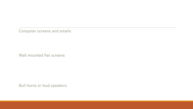Computer screens and emails

Wall mounted flat screens

Bull horns or loud speakers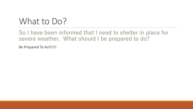### What to Do?

So I have been informed that I need to shelter in place for severe weather. What should I be prepared to do?

Be Prepared To Act!!!!!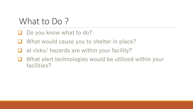### What to Do?

- Do you know what to do?
- What would cause you to shelter in place?
- at risks/ hazards are within your facility?
- What alert technologies would be utilized within your facilities?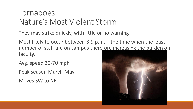#### Tornadoes: Nature's Most Violent Storm

They may strike quickly, with little or no warning

Most likely to occur between 3-9 p.m. – the time when the least number of staff are on campus therefore increasing the burden on faculty.

Avg. speed 30-70 mph

Peak season March-May

Moves SW to NE

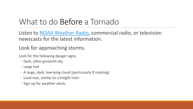## What to do Before a Tornado

Listen to NOAA Weather Radio, commercial ra newscasts for the latest information.

#### Look for approaching storms.

Look for the following danger signs:

- Dark, often greenish sky
- Large hail
- A large, dark, low-lying cloud (particularly if rotating)
- Loud roar, similar to a freight train
- Sign up for weather alerts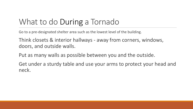#### What to do During a Tornado

Go to a pre-designated shelter area such as the lowest level of the building.

Think closets & interior hallways - away from corners, windows, doors, and outside walls.

Put as many walls as possible between you and the outside.

Get under a sturdy table and use your arms to protect your head and neck.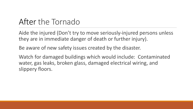#### After the Tornado

Aide the injured (Don't try to move seriously-injured persons unless they are in immediate danger of death or further injury).

Be aware of new safety issues created by the disaster.

Watch for damaged buildings which would include: Contaminated water, gas leaks, broken glass, damaged electrical wiring, and slippery floors.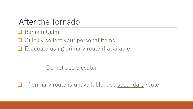#### After the Tornado

- $\Box$  Remain Calm
- $\Box$  Quickly collect your personal items
- $\Box$  Evacuate using primary route if available

Do not use elevator!

 $\Box$  If primary route is unavailable, use secondary route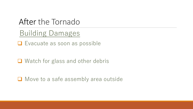After the Tornado

Building Damages

 $\Box$  Evacuate as soon as possible

 $\Box$  Watch for glass and other debris

 $\Box$  Move to a safe assembly area outside